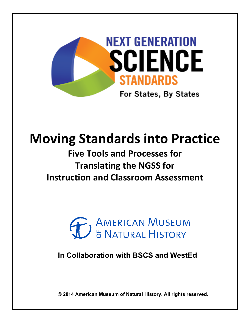

# **Moving Standards into Practice**

# **Five Tools and Processes for Translating the NGSS for Instruction and Classroom Assessment**



**In Collaboration with BSCS and WestEd**

**© 2014 American Museum of Natural History. All rights reserved.**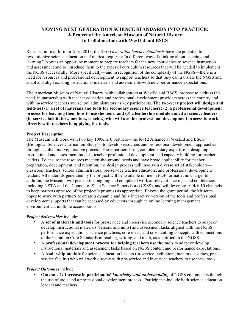#### **MOVING NEXT GENERATION SCIENCE STANDARDS INTO PRACTICE: A Project of the American Museum of Natural History In Collaboration with WestEd and BSCS**

Released in final form in April 2013, the *Next Generation Science Standards* have the potential to revolutionize science education in America, requiring "a different way of thinking about teaching and learning." Now is an opportune moment to prepare teachers for the new approaches to science instruction and assessment and to introduce them to the types of curriculum resources that will be needed to implement the NGSS successfully. More specifically—and in recognition of the complexity of the NGSS—there is a need for resources and professional development to support teachers so that they can translate the NGSS and adapt and align existing instructional materials and assessments with new performance expectations.

The American Museum of Natural History, with collaborators at WestEd and BSCS, propose to address this need, in partnership with teacher education and professional development providers across the country and with in-service teachers and school administrators as key participants. **The two-year project will design and field-test (1) a set of materials and tools for secondary science teachers; (2) a professional development process for teaching them how to use the tools; and (3) a leadership module aimed at science leaders (in-service facilitators, mentors, coaches) who will use this professional development process to work directly with teachers in applying the tools.**

#### **Project Description**

The Museum will work with two key 100Kin10 partners—the K–12 Alliance at WestEd and BSCS (Biological Sciences Curriculum Study)—to develop resources and professional development approaches through a collaborative, iterative process. These partners bring complementary expertise in designing instructional and assessment models, teacher professional development, and capacity building for teacher leaders. To ensure the resources meet on-the-ground needs and have broad applicability for teacher preparation, development, and retention, the design process will involve a diverse set of stakeholders classroom teachers, school administrators, pre-service teacher educators, and professional development leaders. All materials generated by the project will be available online in PDF format at no charge. In addition, the Museum will present the ongoing and completed work at relevant meetings and conferences, including NSTA and the Council of State Science Supervisors (CSSS), and will leverage 100Kin10 channels to keep partners apprised of the project's progress as appropriate. Beyond the grant period, the Museum hopes to work with partners to create a dynamic and fully interactive version of the tools and professional development supports that can be accessed by educators through an online learning management environment via multiple access points.

#### *Project deliverables* include:

- A **set of materials and tools** for pre-service and in-service secondary science teachers to adapt or develop instructional materials (lessons and units) and assessment tasks aligned with the NGSS performance expectations, science practices, core ideas, and cross-cutting concepts with connections to the Common Core Standards in reading, writing, and math, as identified in the NGSS.
- A **professional development process for helping teachers use the tools** to adapt or develop instructional materials and assessment tasks based on NGSS content and performance expectations.
- A **leadership module** for science education leaders (in-service facilitators, mentors, coaches, preservice faculty) who will work directly with pre-service and in-service teachers to use these tools.

#### *Project Outcomes* include:

• **Outcome 1***:* **Increase in participants'** *knowledge and understanding* of NGSS components though the use of tools and a professional development process. Participants include both science education leaders and teachers.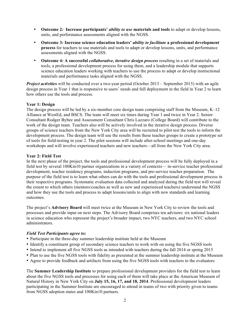- **Outcome 2***:* **Increase participants'** *ability to use* **materials and tools** to adapt or develop lessons, units, and performance assessments aligned with the NGSS.
- **Outcome 3***:* **Increase science education leaders'** *ability to facilitate* **a professional development process** for teachers to use materials and tools to adapt or develop lessons, units, and performance assessments aligned with the NGSS.
- **Outcome 4***:* **A successful** *collaborative, iterative design process* resulting in a set of materials and tools, a professional development process for using them, and a leadership module that supports science education leaders working with teachers to use the process to adapt or develop instructional materials and performance tasks aligned with the NGSS.

*Project activities* will be conducted over a two-year period (October 2013 – September 2015) with an agile design process in Year 1 that is responsive to users' needs and full deployment in the field in Year 2 to learn how others use the tools and process.

#### **Year 1: Design**

The design process will be led by a six-member core design team comprising staff from the Museum,  $K-12$ Alliance at WestEd, and BSCS. The team will meet six times during Year 1 and twice in Year 2. Senior Consultant Rodger Bybee and Assessment Consultant Chris Lazzaro (College Board) will contribute to the work of the design team. Teachers also will be actively involved in the iterative design process. Diverse groups of science teachers from the New York City area will be recruited to pilot test the tools to inform the development process. The design team will use the results from these teacher groups to create a prototype set of tools for field-testing in year 2. The pilot sessions will include after-school meetings and one-day workshops and will involve experienced teachers and new teachers—all from the New York City area.

#### **Year 2: Field Test**

In the next phase of the project, the tools and professional development process will be fully deployed in a field test by several 100Kin10 partner organizations in a variety of contexts— in-service teacher professional development, teacher residency programs, induction programs, and pre-service teacher preparation. The purpose of the field test is to learn what others can do with the tools and professional development process in their respective programs. Systematic evaluation data collected and analyzed during the field test will reveal the extent to which others (mentors/coaches as well as new and experienced teachers) understand the NGSS and how they use the tools and process to adapt lessons/units to align with new standards and learning outcomes.

The project's **Advisory Board** will meet twice at the Museum in New York City to review the tools and processes and provide input on next steps. The Advisory Board comprises ten advisors: six national leaders in science education who represent the project's broader impact, two NYC teachers, and two NYC school administrators.

#### *Field Test Participants agree to:*

- Participate in the three-day summer leadership institute held at the Museum
- Identify a constituent group of secondary science teachers to work with on using the five NGSS tools
- Intend to implement all five NGSS tools as intended with teachers during the fall 2014 or spring 2015
- Plan to use the five NGSS tools with fidelity as presented at the summer leadership institute at the Museum
- Agree to provide feedback and artifacts from using the five NGSS tools with teachers to the evaluators

The **Summer Leadership Institute** to prepare professional development providers for the field test to learn about the five NGSS tools and processes for using each of them will take place at the American Museum of Natural History in New York City on **July 15, 16, 17, and 18, 2014**. Professional development leaders participating in the Summer Institute are encouraged to attend in teams of two with priority given to teams from NGSS adoption states and 100Kin10 partners.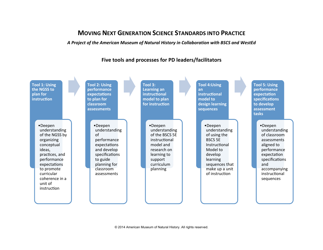# **MOVING NEXT GENERATION SCIENCE STANDARDS INTO PRACTICE**

#### *A Project of the American Museum of Natural History in Collaboration with BSCS and WestEd*

### Five tools and processes for PD leaders/facilitators

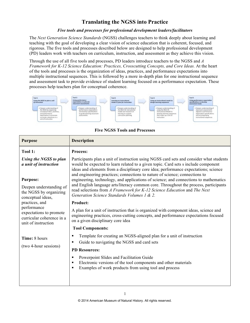## **Translating the NGSS into Practice**

#### *Five tools and processes for professional development leaders/facilitators*

The *Next Generation Science Standards* (NGSS) challenges teachers to think deeply about learning and teaching with the goal of developing a clear vision of science education that is coherent, focused, and rigorous. The five tools and processes described below are designed to help professional development (PD) leaders work with teachers on curriculum, instruction, and assessment as they achieve this vision.

Through the use of all five tools and processes, PD leaders introduce teachers to the NGSS and *A Framework for K-12 Science Education: Practices, Crosscutting Concepts, and Core Ideas.* At the heart of the tools and processes is the organization of ideas, practices, and performance expectations into multiple instructional sequences. This is followed by a more in-depth plan for one instructional sequence and assessment task to provide evidence of student learning focused on a performance expectation. These processes help teachers plan for conceptual coherence.



**Five NGSS Tools and Processes**

| <b>Purpose</b>                                                                             | <b>Description</b>                                                                                                                                                                                                                                                                                                                                                                                                                                                                                                                                                                                                                                             |  |  |
|--------------------------------------------------------------------------------------------|----------------------------------------------------------------------------------------------------------------------------------------------------------------------------------------------------------------------------------------------------------------------------------------------------------------------------------------------------------------------------------------------------------------------------------------------------------------------------------------------------------------------------------------------------------------------------------------------------------------------------------------------------------------|--|--|
| Tool 1:                                                                                    | <b>Process:</b>                                                                                                                                                                                                                                                                                                                                                                                                                                                                                                                                                                                                                                                |  |  |
| Using the NGSS to plan<br>a unit of instruction                                            | Participants plan a unit of instruction using NGSS card sets and consider what students<br>would be expected to learn related to a given topic. Card sets s include component<br>ideas and elements from a disciplinary core idea; performance expectations; science<br>and engineering practices; connections to nature of science; connections to<br>engineering, technology, and applications of science; and connections to mathematics<br>and English language arts/literacy common core. Throughout the process, participants<br>read selections from A Framework for K-12 Science Education and The Next<br>Generation Science Standards Volumes 1 & 2. |  |  |
| <b>Purpose:</b>                                                                            |                                                                                                                                                                                                                                                                                                                                                                                                                                                                                                                                                                                                                                                                |  |  |
| Deepen understanding of<br>the NGSS by organizing<br>conceptual ideas,<br>practices, and   |                                                                                                                                                                                                                                                                                                                                                                                                                                                                                                                                                                                                                                                                |  |  |
|                                                                                            | <b>Product:</b>                                                                                                                                                                                                                                                                                                                                                                                                                                                                                                                                                                                                                                                |  |  |
| performance<br>expectations to promote<br>curricular coherence in a<br>unit of instruction | A plan for a unit of instruction that is organized with component ideas, science and<br>engineering practices, cross-cutting concepts, and performance expectations focused<br>on a given disciplinary core idea                                                                                                                                                                                                                                                                                                                                                                                                                                               |  |  |
|                                                                                            | <b>Tool Components:</b>                                                                                                                                                                                                                                                                                                                                                                                                                                                                                                                                                                                                                                        |  |  |
| Time: 8 hours                                                                              | Template for creating an NGSS-aligned plan for a unit of instruction<br>Guide to navigating the NGSS and card sets<br>$\blacksquare$                                                                                                                                                                                                                                                                                                                                                                                                                                                                                                                           |  |  |
| (two 4-hour sessions)                                                                      | <b>PD Resources:</b>                                                                                                                                                                                                                                                                                                                                                                                                                                                                                                                                                                                                                                           |  |  |
|                                                                                            | Powerpoint Slides and Facilitation Guide<br>п<br>Electronic versions of the tool components and other materials<br>Examples of work products from using tool and process                                                                                                                                                                                                                                                                                                                                                                                                                                                                                       |  |  |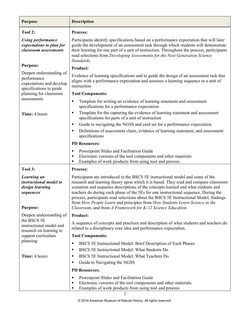| <b>Purpose</b>                                                                                | <b>Description</b>                                                                                                                                                                                                                                                                                                                                                                                                                                                                                                                                                                        |  |  |
|-----------------------------------------------------------------------------------------------|-------------------------------------------------------------------------------------------------------------------------------------------------------------------------------------------------------------------------------------------------------------------------------------------------------------------------------------------------------------------------------------------------------------------------------------------------------------------------------------------------------------------------------------------------------------------------------------------|--|--|
| Tool 2:                                                                                       | <b>Process:</b>                                                                                                                                                                                                                                                                                                                                                                                                                                                                                                                                                                           |  |  |
| <b>Using performance</b><br>expectations to plan for<br>classroom assessments                 | Participants identify specifications based on a performance expectation that will later<br>guide the development of an assessment task through which students will demonstrate<br>their learning for one part of a unit of instruction. Throughout the process, participants<br>read selections from Developing Assessments for the Next Generation Science<br>Standards.                                                                                                                                                                                                                 |  |  |
| <b>Purpose:</b>                                                                               | <b>Product:</b>                                                                                                                                                                                                                                                                                                                                                                                                                                                                                                                                                                           |  |  |
| Deepen understanding of<br>performance<br>expectations and develop<br>specifications to guide | Evidence of learning specifications and to guide the design of an assessment task that<br>aligns with a performance expectation and assesses a learning sequence in a unit of<br>instruction                                                                                                                                                                                                                                                                                                                                                                                              |  |  |
| planning for classroom                                                                        | <b>Tool Components:</b>                                                                                                                                                                                                                                                                                                                                                                                                                                                                                                                                                                   |  |  |
| assessments                                                                                   | Template for writing an evidence of learning statement and assessment<br>٠<br>specifications for a performance expectation                                                                                                                                                                                                                                                                                                                                                                                                                                                                |  |  |
| Time: 4 hours                                                                                 | Template for the capturing the evidence of learning statement and assessment<br>٠<br>specifications for parts of a unit of instruction                                                                                                                                                                                                                                                                                                                                                                                                                                                    |  |  |
|                                                                                               | Guide to navigating the NGSS and card set for a performance expectation<br>٠                                                                                                                                                                                                                                                                                                                                                                                                                                                                                                              |  |  |
|                                                                                               | Definitions of assessment claim, evidence of learning statement, and assessment<br>specifications                                                                                                                                                                                                                                                                                                                                                                                                                                                                                         |  |  |
|                                                                                               | <b>PD Resources:</b>                                                                                                                                                                                                                                                                                                                                                                                                                                                                                                                                                                      |  |  |
|                                                                                               | Powerpoint Slides and Facilitation Guide<br>п<br>Electronic versions of the tool components and other materials<br>п<br>Examples of work products from using tool and process                                                                                                                                                                                                                                                                                                                                                                                                             |  |  |
| Tool 3:                                                                                       | <b>Process:</b>                                                                                                                                                                                                                                                                                                                                                                                                                                                                                                                                                                           |  |  |
| Learning an<br>instructional model to<br>design learning<br>sequences<br><b>Purpose:</b>      | Participants are introduced to the BSCS 5E instructional model and some of the<br>research and learning theory upon which it is based. They read and compare classroom<br>scenarios and sequence descriptions of the concepts learned and what students and<br>teachers do during each phase of the 5Es for one instructional sequence. During the<br>process, participants read selections about the BSCS 5E Instructional Model, findings<br>from How People Learn and principles from How Students Learn Science in the<br>Classroom, and from A Framework for K-12 Science Education. |  |  |
| Deepen understanding of<br>the BSCS 5E<br>instructional model and                             | <b>Product:</b>                                                                                                                                                                                                                                                                                                                                                                                                                                                                                                                                                                           |  |  |
|                                                                                               | A sequence of concepts and practices and description of what students and teachers do<br>related to a disciplinary core idea and performance expectation.                                                                                                                                                                                                                                                                                                                                                                                                                                 |  |  |
| research on learning to<br>support curriculum                                                 | <b>Tool Components:</b>                                                                                                                                                                                                                                                                                                                                                                                                                                                                                                                                                                   |  |  |
| planning                                                                                      | BSCS 5E Instructional Model: Brief Description of Each Phases<br>٠                                                                                                                                                                                                                                                                                                                                                                                                                                                                                                                        |  |  |
|                                                                                               | BSCS 5E Instructional Model: What Students Do<br>٠                                                                                                                                                                                                                                                                                                                                                                                                                                                                                                                                        |  |  |
| Time: 4 hours                                                                                 | BSCS 5E Instructional Model: What Teachers Do<br>п                                                                                                                                                                                                                                                                                                                                                                                                                                                                                                                                        |  |  |
|                                                                                               | Guide to Navigating the NGSS<br>٠                                                                                                                                                                                                                                                                                                                                                                                                                                                                                                                                                         |  |  |
|                                                                                               | <b>PD Resources:</b>                                                                                                                                                                                                                                                                                                                                                                                                                                                                                                                                                                      |  |  |
|                                                                                               | Powerpoint Slides and Facilitation Guide<br>٠<br>Electronic versions of the tool components and other materials<br>٠<br>Examples of work products from using tool and process<br>п                                                                                                                                                                                                                                                                                                                                                                                                        |  |  |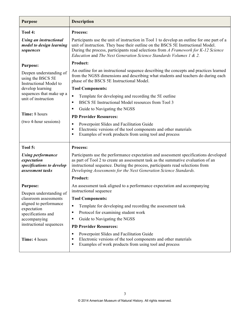| <b>Purpose</b>                                                                           | <b>Description</b>                                                                                                                                                                                                                                                                                                                         |  |  |
|------------------------------------------------------------------------------------------|--------------------------------------------------------------------------------------------------------------------------------------------------------------------------------------------------------------------------------------------------------------------------------------------------------------------------------------------|--|--|
| Tool 4:                                                                                  | <b>Process:</b>                                                                                                                                                                                                                                                                                                                            |  |  |
| <b>Using an instructional</b><br>model to design learning<br>sequences                   | Participants use the unit of instruction in Tool 1 to develop an outline for one part of a<br>unit of instruction. They base their outline on the BSCS 5E Instructional Model.<br>During the process, participants read selections from A Framework for K-12 Science<br>Education and The Next Generation Science Standards Volumes 1 & 2. |  |  |
| <b>Purpose:</b>                                                                          | <b>Product:</b>                                                                                                                                                                                                                                                                                                                            |  |  |
| Deepen understanding of<br>using the BSCS 5E<br>Instructional Model to                   | An outline for an instructional sequence describing the concepts and practices learned<br>from the NGSS dimensions and describing what students and teachers do during each<br>phase of the BSCS 5E Instructional Model.                                                                                                                   |  |  |
| develop learning                                                                         | <b>Tool Components:</b>                                                                                                                                                                                                                                                                                                                    |  |  |
| sequences that make up a<br>unit of instruction                                          | Template for developing and recording the 5E outline<br>$\blacksquare$                                                                                                                                                                                                                                                                     |  |  |
|                                                                                          | BSCS 5E Instructional Model resources from Tool 3                                                                                                                                                                                                                                                                                          |  |  |
| Time: 8 hours                                                                            | Guide to Navigating the NGSS<br>٠                                                                                                                                                                                                                                                                                                          |  |  |
|                                                                                          | <b>PD Provider Resources:</b>                                                                                                                                                                                                                                                                                                              |  |  |
| (two 4-hour sessions)                                                                    | Powerpoint Slides and Facilitation Guide<br>٠<br>Electronic versions of the tool components and other materials<br>٠<br>Examples of work products from using tool and process<br>٠                                                                                                                                                         |  |  |
| Tool 5:                                                                                  | Process:                                                                                                                                                                                                                                                                                                                                   |  |  |
| <b>Using performance</b><br>expectation<br>specifications to develop<br>assessment tasks | Participants use the performance expectation and assessment specifications developed<br>as part of Tool 2 to create an assessment task as the summative evaluation of an<br>instructional sequence. During the process, participants read selections from<br>Developing Assessments for the Next Generation Science Standards.             |  |  |
|                                                                                          | <b>Product:</b>                                                                                                                                                                                                                                                                                                                            |  |  |
| <b>Purpose:</b>                                                                          | An assessment task aligned to a performance expectation and accompanying                                                                                                                                                                                                                                                                   |  |  |
| Deepen understanding of                                                                  | instructional sequence                                                                                                                                                                                                                                                                                                                     |  |  |
| classroom assessments<br>aligned to performance<br>expectation                           | <b>Tool Components:</b>                                                                                                                                                                                                                                                                                                                    |  |  |
|                                                                                          | Template for developing and recording the assessment task<br>٠                                                                                                                                                                                                                                                                             |  |  |
| specifications and                                                                       | Protocol for examining student work<br>٠                                                                                                                                                                                                                                                                                                   |  |  |
| accompanying<br>instructional sequences                                                  | Guide to Navigating the NGSS<br>٠                                                                                                                                                                                                                                                                                                          |  |  |
|                                                                                          | <b>PD Provider Resources:</b>                                                                                                                                                                                                                                                                                                              |  |  |
| Time: 4 hours                                                                            | Powerpoint Slides and Facilitation Guide<br>٠<br>Electronic versions of the tool components and other materials<br>٠<br>Examples of work products from using tool and process<br>п                                                                                                                                                         |  |  |